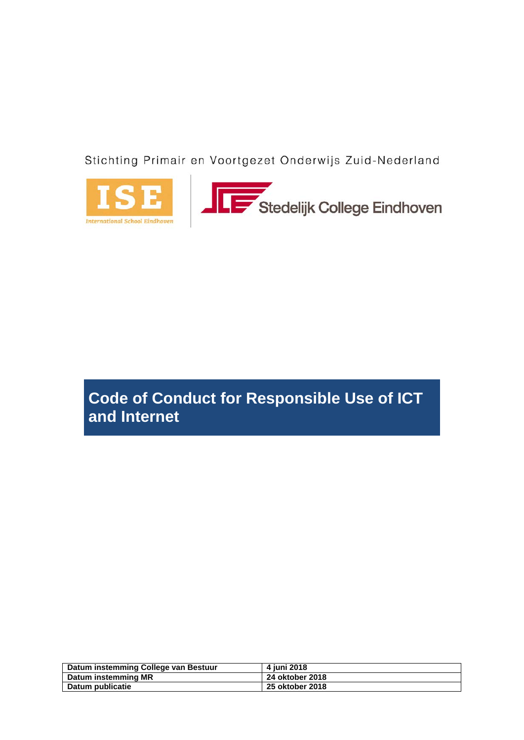Stichting Primair en Voortgezet Onderwijs Zuid-Nederland





# **Code of Conduct for Responsible Use of ICT and Internet**

| Datum instemming College van Bestuur | 4 iuni 2018     |
|--------------------------------------|-----------------|
| Datum instemming MR                  | 24 oktober 2018 |
| Datum publicatie                     | 25 oktober 2018 |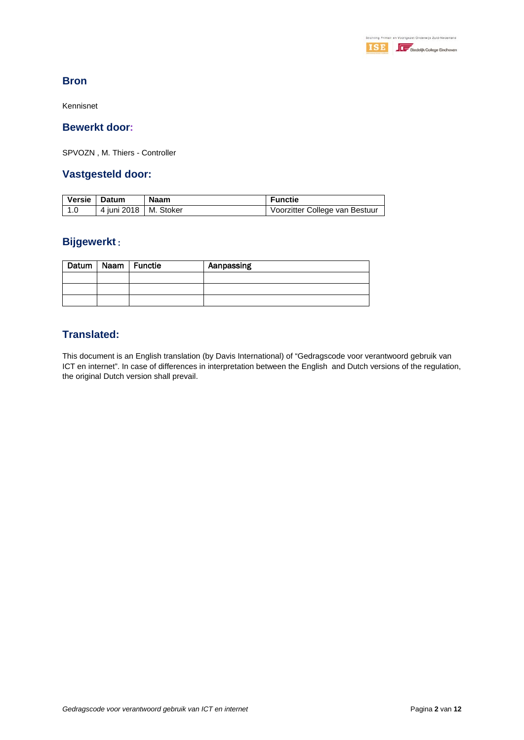

## **Bron**

Kennisnet

## **Bewerkt door:**

SPVOZN , M. Thiers - Controller

## **Vastgesteld door:**

| <b>Versie</b> | Datum                   | Naam | <b>Functie</b>                 |
|---------------|-------------------------|------|--------------------------------|
|               | 4 iuni 2018   M. Stoker |      | Voorzitter College van Bestuur |

## **Bijgewerkt** :

|  | Datum   Naam   Functie | Aanpassing |
|--|------------------------|------------|
|  |                        |            |
|  |                        |            |
|  |                        |            |

## **Translated:**

This document is an English translation (by Davis International) of "Gedragscode voor verantwoord gebruik van ICT en internet". In case of differences in interpretation between the English and Dutch versions of the regulation, the original Dutch version shall prevail.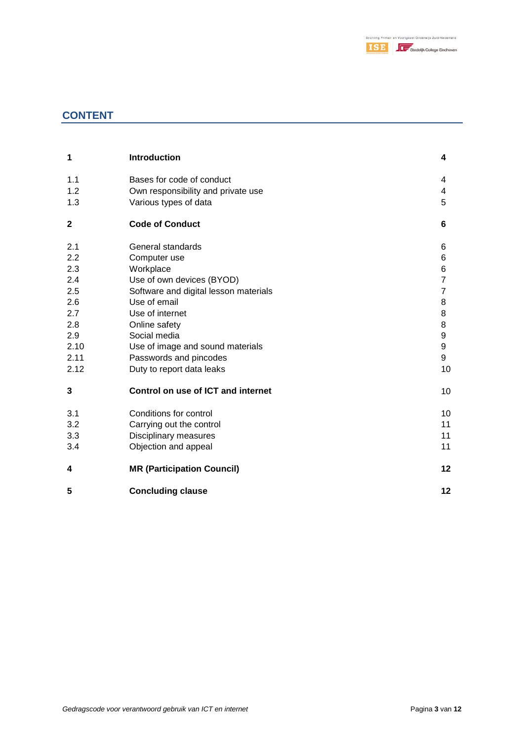

## **CONTENT**

| 1            | <b>Introduction</b>                   | 4              |
|--------------|---------------------------------------|----------------|
| 1.1          | Bases for code of conduct             | 4              |
| 1.2          | Own responsibility and private use    | 4              |
| 1.3          | Various types of data                 | 5              |
| $\mathbf{2}$ | <b>Code of Conduct</b>                | 6              |
| 2.1          | General standards                     | 6              |
| 2.2          | Computer use                          | 6              |
| 2.3          | Workplace                             | 6              |
| 2.4          | Use of own devices (BYOD)             | $\overline{7}$ |
| 2.5          | Software and digital lesson materials | $\overline{7}$ |
| 2.6          | Use of email                          | 8              |
| 2.7          | Use of internet                       | 8              |
| 2.8          | Online safety                         | 8              |
| 2.9          | Social media                          | 9              |
| 2.10         | Use of image and sound materials      | 9              |
| 2.11         | Passwords and pincodes                | 9              |
| 2.12         | Duty to report data leaks             | 10             |
| 3            | Control on use of ICT and internet    | 10             |
| 3.1          | Conditions for control                | 10             |
| 3.2          | Carrying out the control              | 11             |
| 3.3          | Disciplinary measures                 | 11             |
| 3.4          | Objection and appeal                  | 11             |
| 4            | <b>MR (Participation Council)</b>     | 12             |
| 5            | <b>Concluding clause</b>              | 12             |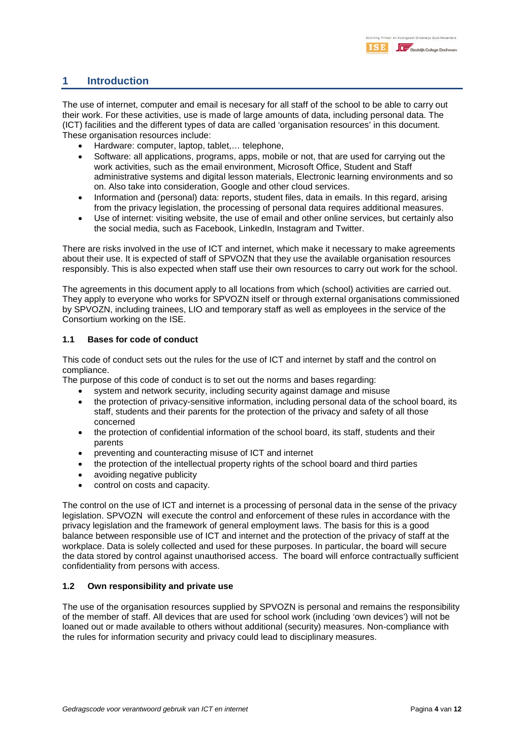## **1 Introduction**

The use of internet, computer and email is necesary for all staff of the school to be able to carry out their work. For these activities, use is made of large amounts of data, including personal data. The (ICT) facilities and the different types of data are called 'organisation resources' in this document. These organisation resources include:

- Hardware: computer, laptop, tablet,… telephone,
- Software: all applications, programs, apps, mobile or not, that are used for carrying out the work activities, such as the email environment, Microsoft Office, Student and Staff administrative systems and digital lesson materials, Electronic learning environments and so on. Also take into consideration, Google and other cloud services.
- Information and (personal) data: reports, student files, data in emails. In this regard, arising from the privacy legislation, the processing of personal data requires additional measures.
- Use of internet: visiting website, the use of email and other online services, but certainly also the social media, such as Facebook, LinkedIn, Instagram and Twitter.

There are risks involved in the use of ICT and internet, which make it necessary to make agreements about their use. It is expected of staff of SPVOZN that they use the available organisation resources responsibly. This is also expected when staff use their own resources to carry out work for the school.

The agreements in this document apply to all locations from which (school) activities are carried out. They apply to everyone who works for SPVOZN itself or through external organisations commissioned by SPVOZN, including trainees, LIO and temporary staff as well as employees in the service of the Consortium working on the ISE.

#### **1.1 Bases for code of conduct**

This code of conduct sets out the rules for the use of ICT and internet by staff and the control on compliance.

The purpose of this code of conduct is to set out the norms and bases regarding:

- system and network security, including security against damage and misuse
- the protection of privacy-sensitive information, including personal data of the school board, its staff, students and their parents for the protection of the privacy and safety of all those concerned
- the protection of confidential information of the school board, its staff, students and their parents
- preventing and counteracting misuse of ICT and internet
- the protection of the intellectual property rights of the school board and third parties
- avoiding negative publicity
- control on costs and capacity.

The control on the use of ICT and internet is a processing of personal data in the sense of the privacy legislation. SPVOZN will execute the control and enforcement of these rules in accordance with the privacy legislation and the framework of general employment laws. The basis for this is a good balance between responsible use of ICT and internet and the protection of the privacy of staff at the workplace. Data is solely collected and used for these purposes. In particular, the board will secure the data stored by control against unauthorised access. The board will enforce contractually sufficient confidentiality from persons with access.

#### **1.2 Own responsibility and private use**

The use of the organisation resources supplied by SPVOZN is personal and remains the responsibility of the member of staff. All devices that are used for school work (including 'own devices') will not be loaned out or made available to others without additional (security) measures. Non-compliance with the rules for information security and privacy could lead to disciplinary measures.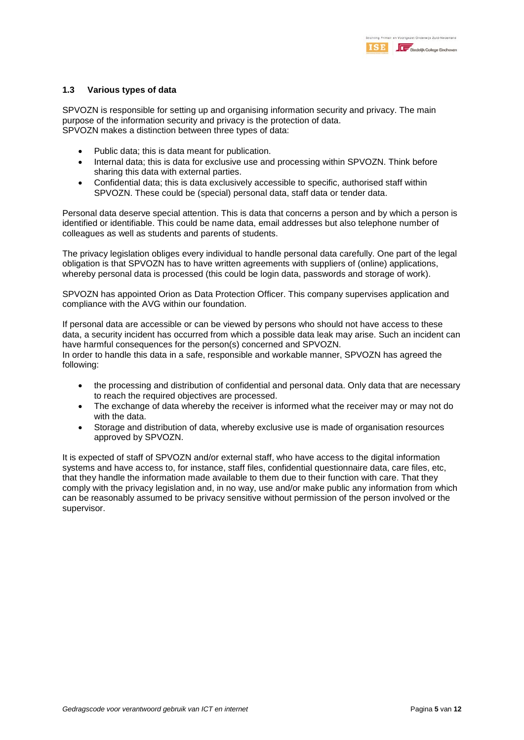#### **1.3 Various types of data**

SPVOZN is responsible for setting up and organising information security and privacy. The main purpose of the information security and privacy is the protection of data. SPVOZN makes a distinction between three types of data:

- Public data; this is data meant for publication.
- Internal data; this is data for exclusive use and processing within SPVOZN. Think before sharing this data with external parties.
- Confidential data; this is data exclusively accessible to specific, authorised staff within SPVOZN. These could be (special) personal data, staff data or tender data.

Personal data deserve special attention. This is data that concerns a person and by which a person is identified or identifiable. This could be name data, email addresses but also telephone number of colleagues as well as students and parents of students.

The privacy legislation obliges every individual to handle personal data carefully. One part of the legal obligation is that SPVOZN has to have written agreements with suppliers of (online) applications, whereby personal data is processed (this could be login data, passwords and storage of work).

SPVOZN has appointed Orion as Data Protection Officer. This company supervises application and compliance with the AVG within our foundation.

If personal data are accessible or can be viewed by persons who should not have access to these data, a security incident has occurred from which a possible data leak may arise. Such an incident can have harmful consequences for the person(s) concerned and SPVOZN. In order to handle this data in a safe, responsible and workable manner, SPVOZN has agreed the following:

- the processing and distribution of confidential and personal data. Only data that are necessary to reach the required objectives are processed.
- The exchange of data whereby the receiver is informed what the receiver may or may not do with the data.
- Storage and distribution of data, whereby exclusive use is made of organisation resources approved by SPVOZN.

It is expected of staff of SPVOZN and/or external staff, who have access to the digital information systems and have access to, for instance, staff files, confidential questionnaire data, care files, etc, that they handle the information made available to them due to their function with care. That they comply with the privacy legislation and, in no way, use and/or make public any information from which can be reasonably assumed to be privacy sensitive without permission of the person involved or the supervisor.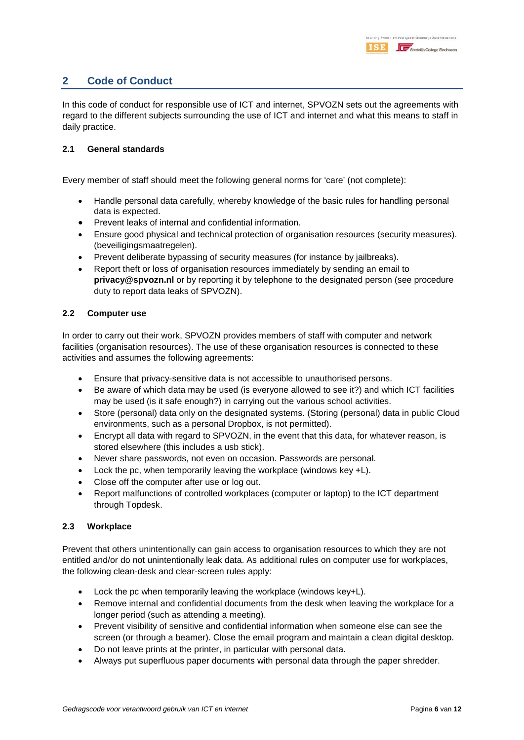## **2 Code of Conduct**

In this code of conduct for responsible use of ICT and internet, SPVOZN sets out the agreements with regard to the different subjects surrounding the use of ICT and internet and what this means to staff in daily practice.

#### **2.1 General standards**

Every member of staff should meet the following general norms for 'care' (not complete):

- Handle personal data carefully, whereby knowledge of the basic rules for handling personal data is expected.
- Prevent leaks of internal and confidential information.
- Ensure good physical and technical protection of organisation resources (security measures). (beveiligingsmaatregelen).
- Prevent deliberate bypassing of security measures (for instance by jailbreaks).
- Report theft or loss of organisation resources immediately by sending an email to **privacy@spvozn.nl** or by reporting it by telephone to the designated person (see procedure duty to report data leaks of SPVOZN).

#### **2.2 Computer use**

In order to carry out their work, SPVOZN provides members of staff with computer and network facilities (organisation resources). The use of these organisation resources is connected to these activities and assumes the following agreements:

- Ensure that privacy-sensitive data is not accessible to unauthorised persons.
- Be aware of which data may be used (is everyone allowed to see it?) and which ICT facilities may be used (is it safe enough?) in carrying out the various school activities.
- Store (personal) data only on the designated systems. (Storing (personal) data in public Cloud environments, such as a personal Dropbox, is not permitted).
- Encrypt all data with regard to SPVOZN, in the event that this data, for whatever reason, is stored elsewhere (this includes a usb stick).
- Never share passwords, not even on occasion. Passwords are personal.
- Lock the pc, when temporarily leaving the workplace (windows key +L).
- Close off the computer after use or log out.
- Report malfunctions of controlled workplaces (computer or laptop) to the ICT department through Topdesk.

#### **2.3 Workplace**

Prevent that others unintentionally can gain access to organisation resources to which they are not entitled and/or do not unintentionally leak data. As additional rules on computer use for workplaces, the following clean-desk and clear-screen rules apply:

- Lock the pc when temporarily leaving the workplace (windows key+L).
- Remove internal and confidential documents from the desk when leaving the workplace for a longer period (such as attending a meeting).
- Prevent visibility of sensitive and confidential information when someone else can see the screen (or through a beamer). Close the email program and maintain a clean digital desktop.
- Do not leave prints at the printer, in particular with personal data.
- Always put superfluous paper documents with personal data through the paper shredder.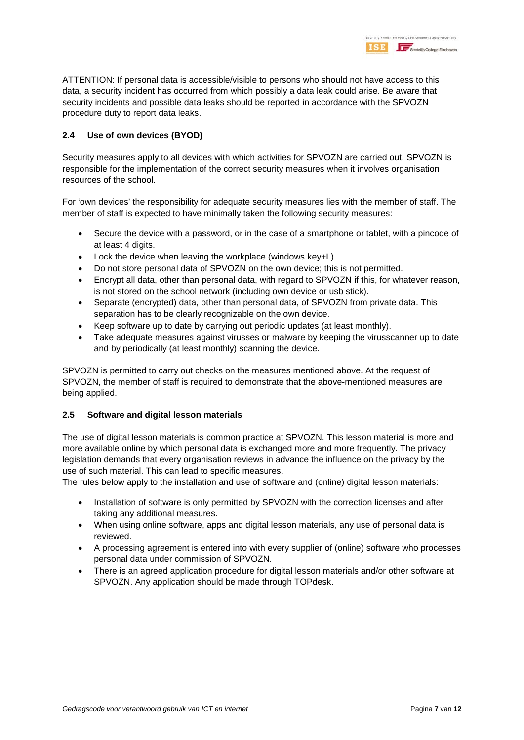ATTENTION: If personal data is accessible/visible to persons who should not have access to this data, a security incident has occurred from which possibly a data leak could arise. Be aware that security incidents and possible data leaks should be reported in accordance with the SPVOZN procedure duty to report data leaks.

#### **2.4 Use of own devices (BYOD)**

Security measures apply to all devices with which activities for SPVOZN are carried out. SPVOZN is responsible for the implementation of the correct security measures when it involves organisation resources of the school.

For 'own devices' the responsibility for adequate security measures lies with the member of staff. The member of staff is expected to have minimally taken the following security measures:

- Secure the device with a password, or in the case of a smartphone or tablet, with a pincode of at least 4 digits.
- Lock the device when leaving the workplace (windows key+L).
- Do not store personal data of SPVOZN on the own device; this is not permitted.
- Encrypt all data, other than personal data, with regard to SPVOZN if this, for whatever reason, is not stored on the school network (including own device or usb stick).
- Separate (encrypted) data, other than personal data, of SPVOZN from private data. This separation has to be clearly recognizable on the own device.
- Keep software up to date by carrying out periodic updates (at least monthly).
- Take adequate measures against virusses or malware by keeping the virusscanner up to date and by periodically (at least monthly) scanning the device.

SPVOZN is permitted to carry out checks on the measures mentioned above. At the request of SPVOZN, the member of staff is required to demonstrate that the above-mentioned measures are being applied.

#### **2.5 Software and digital lesson materials**

The use of digital lesson materials is common practice at SPVOZN. This lesson material is more and more available online by which personal data is exchanged more and more frequently. The privacy legislation demands that every organisation reviews in advance the influence on the privacy by the use of such material. This can lead to specific measures.

The rules below apply to the installation and use of software and (online) digital lesson materials:

- Installation of software is only permitted by SPVOZN with the correction licenses and after taking any additional measures.
- When using online software, apps and digital lesson materials, any use of personal data is reviewed.
- A processing agreement is entered into with every supplier of (online) software who processes personal data under commission of SPVOZN.
- There is an agreed application procedure for digital lesson materials and/or other software at SPVOZN. Any application should be made through TOPdesk.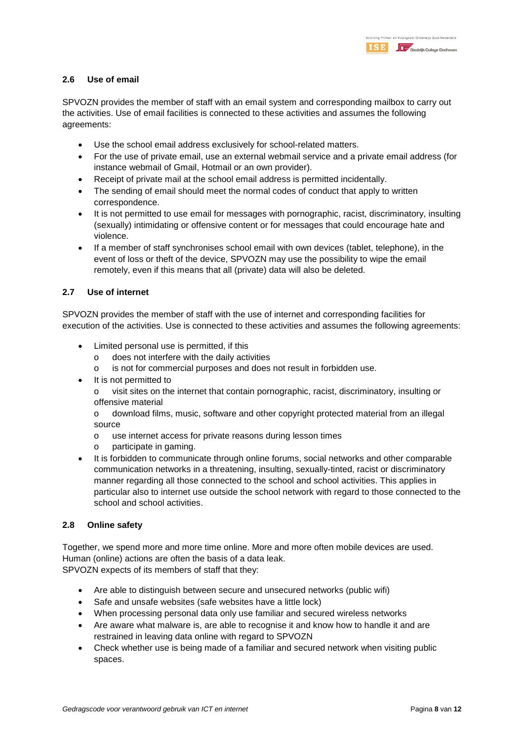#### **2.6 Use of email**

SPVOZN provides the member of staff with an email system and corresponding mailbox to carry out the activities. Use of email facilities is connected to these activities and assumes the following agreements:

- Use the school email address exclusively for school-related matters.
- For the use of private email, use an external webmail service and a private email address (for instance webmail of Gmail, Hotmail or an own provider).
- Receipt of private mail at the school email address is permitted incidentally.
- The sending of email should meet the normal codes of conduct that apply to written correspondence.
- It is not permitted to use email for messages with pornographic, racist, discriminatory, insulting (sexually) intimidating or offensive content or for messages that could encourage hate and violence.
- If a member of staff synchronises school email with own devices (tablet, telephone), in the event of loss or theft of the device, SPVOZN may use the possibility to wipe the email remotely, even if this means that all (private) data will also be deleted.

#### **2.7 Use of internet**

SPVOZN provides the member of staff with the use of internet and corresponding facilities for execution of the activities. Use is connected to these activities and assumes the following agreements:

- Limited personal use is permitted, if this
	- o does not interfere with the daily activities
	- o is not for commercial purposes and does not result in forbidden use.
- It is not permitted to
	- o visit sites on the internet that contain pornographic, racist, discriminatory, insulting or offensive material

o download films, music, software and other copyright protected material from an illegal source

- o use internet access for private reasons during lesson times
- o participate in gaming.
- It is forbidden to communicate through online forums, social networks and other comparable communication networks in a threatening, insulting, sexually-tinted, racist or discriminatory manner regarding all those connected to the school and school activities. This applies in particular also to internet use outside the school network with regard to those connected to the school and school activities.

#### **2.8 Online safety**

Together, we spend more and more time online. More and more often mobile devices are used. Human (online) actions are often the basis of a data leak. SPVOZN expects of its members of staff that they:

- Are able to distinguish between secure and unsecured networks (public wifi)
- Safe and unsafe websites (safe websites have a little lock)
- When processing personal data only use familiar and secured wireless networks
- Are aware what malware is, are able to recognise it and know how to handle it and are restrained in leaving data online with regard to SPVOZN
- Check whether use is being made of a familiar and secured network when visiting public spaces.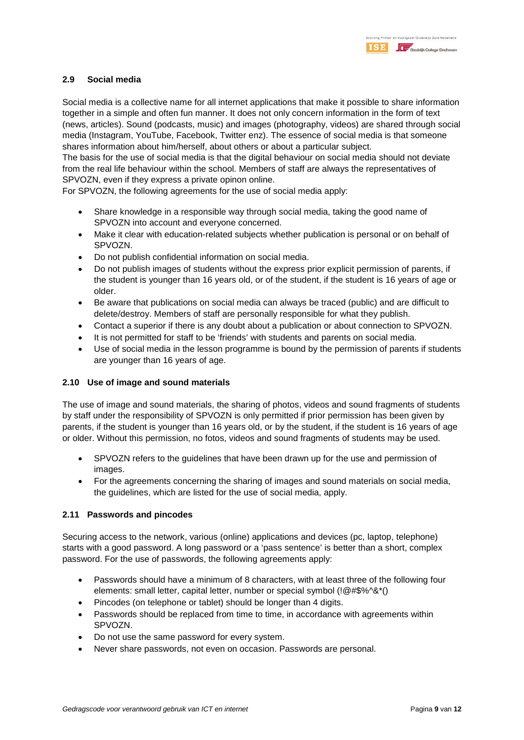#### **2.9 Social media**

Social media is a collective name for all internet applications that make it possible to share information together in a simple and often fun manner. It does not only concern information in the form of text (news, articles). Sound (podcasts, music) and images (photography, videos) are shared through social media (Instagram, YouTube, Facebook, Twitter enz). The essence of social media is that someone shares information about him/herself, about others or about a particular subject.

The basis for the use of social media is that the digital behaviour on social media should not deviate from the real life behaviour within the school. Members of staff are always the representatives of SPVOZN, even if they express a private opinon online.

For SPVOZN, the following agreements for the use of social media apply:

- Share knowledge in a responsible way through social media, taking the good name of SPVOZN into account and everyone concerned.
- Make it clear with education-related subjects whether publication is personal or on behalf of SPVOZN.
- Do not publish confidential information on social media.
- Do not publish images of students without the express prior explicit permission of parents, if the student is younger than 16 years old, or of the student, if the student is 16 years of age or older.
- Be aware that publications on social media can always be traced (public) and are difficult to delete/destroy. Members of staff are personally responsible for what they publish.
- Contact a superior if there is any doubt about a publication or about connection to SPVOZN.
- It is not permitted for staff to be 'friends' with students and parents on social media.
- Use of social media in the lesson programme is bound by the permission of parents if students are younger than 16 years of age.

#### **2.10 Use of image and sound materials**

The use of image and sound materials, the sharing of photos, videos and sound fragments of students by staff under the responsibility of SPVOZN is only permitted if prior permission has been given by parents, if the student is younger than 16 years old, or by the student, if the student is 16 years of age or older. Without this permission, no fotos, videos and sound fragments of students may be used.

- SPVOZN refers to the guidelines that have been drawn up for the use and permission of images.
- For the agreements concerning the sharing of images and sound materials on social media, the guidelines, which are listed for the use of social media, apply.

#### **2.11 Passwords and pincodes**

Securing access to the network, various (online) applications and devices (pc, laptop, telephone) starts with a good password. A long password or a 'pass sentence' is better than a short, complex password. For the use of passwords, the following agreements apply:

- Passwords should have a minimum of 8 characters, with at least three of the following four elements: small letter, capital letter, number or special symbol (!@#\$%^&\*()
- Pincodes (on telephone or tablet) should be longer than 4 digits.
- Passwords should be replaced from time to time, in accordance with agreements within SPVOZN.
- Do not use the same password for every system.
- Never share passwords, not even on occasion. Passwords are personal.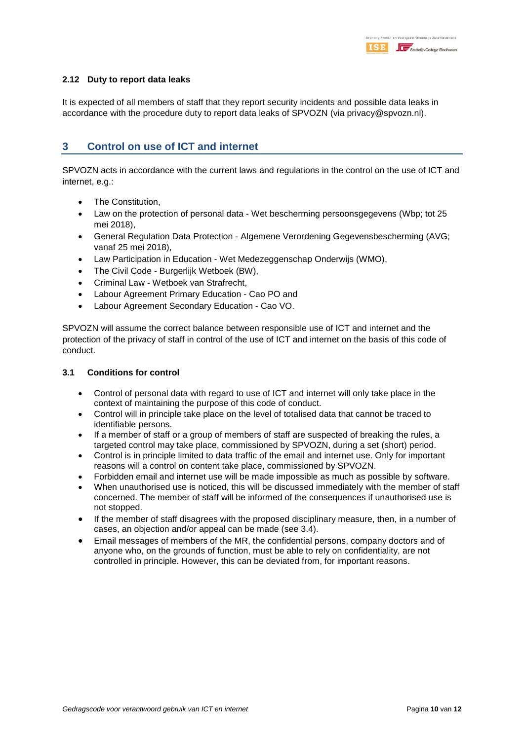

#### **2.12 Duty to report data leaks**

It is expected of all members of staff that they report security incidents and possible data leaks in accordance with the procedure duty to report data leaks of SPVOZN (via privacy@spvozn.nl).

## **3 Control on use of ICT and internet**

SPVOZN acts in accordance with the current laws and regulations in the control on the use of ICT and internet, e.g.:

- The Constitution,
- Law on the protection of personal data Wet bescherming persoonsgegevens (Wbp; tot 25 mei 2018),
- General Regulation Data Protection Algemene Verordening Gegevensbescherming (AVG; vanaf 25 mei 2018),
- Law Participation in Education Wet Medezeggenschap Onderwijs (WMO),
- The Civil Code Burgerlijk Wetboek (BW),
- Criminal Law Wetboek van Strafrecht,
- Labour Agreement Primary Education Cao PO and
- Labour Agreement Secondary Education Cao VO.

SPVOZN will assume the correct balance between responsible use of ICT and internet and the protection of the privacy of staff in control of the use of ICT and internet on the basis of this code of conduct.

#### **3.1 Conditions for control**

- Control of personal data with regard to use of ICT and internet will only take place in the context of maintaining the purpose of this code of conduct.
- Control will in principle take place on the level of totalised data that cannot be traced to identifiable persons.
- If a member of staff or a group of members of staff are suspected of breaking the rules, a targeted control may take place, commissioned by SPVOZN, during a set (short) period.
- Control is in principle limited to data traffic of the email and internet use. Only for important reasons will a control on content take place, commissioned by SPVOZN.
- Forbidden email and internet use will be made impossible as much as possible by software.
- When unauthorised use is noticed, this will be discussed immediately with the member of staff concerned. The member of staff will be informed of the consequences if unauthorised use is not stopped.
- If the member of staff disagrees with the proposed disciplinary measure, then, in a number of cases, an objection and/or appeal can be made (see 3.4).
- Email messages of members of the MR, the confidential persons, company doctors and of anyone who, on the grounds of function, must be able to rely on confidentiality, are not controlled in principle. However, this can be deviated from, for important reasons.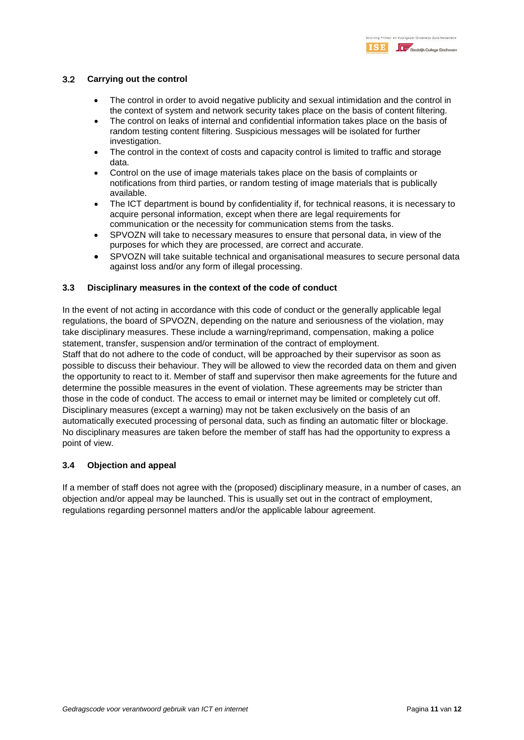#### 3.2 **Carrying out the control**

- The control in order to avoid negative publicity and sexual intimidation and the control in the context of system and network security takes place on the basis of content filtering.
- The control on leaks of internal and confidential information takes place on the basis of random testing content filtering. Suspicious messages will be isolated for further investigation.
- The control in the context of costs and capacity control is limited to traffic and storage data.
- Control on the use of image materials takes place on the basis of complaints or notifications from third parties, or random testing of image materials that is publically available.
- The ICT department is bound by confidentiality if, for technical reasons, it is necessary to acquire personal information, except when there are legal requirements for communication or the necessity for communication stems from the tasks.
- SPVOZN will take to necessary measures to ensure that personal data, in view of the purposes for which they are processed, are correct and accurate.
- SPVOZN will take suitable technical and organisational measures to secure personal data against loss and/or any form of illegal processing.

#### **3.3 Disciplinary measures in the context of the code of conduct**

In the event of not acting in accordance with this code of conduct or the generally applicable legal regulations, the board of SPVOZN, depending on the nature and seriousness of the violation, may take disciplinary measures. These include a warning/reprimand, compensation, making a police statement, transfer, suspension and/or termination of the contract of employment.

Staff that do not adhere to the code of conduct, will be approached by their supervisor as soon as possible to discuss their behaviour. They will be allowed to view the recorded data on them and given the opportunity to react to it. Member of staff and supervisor then make agreements for the future and determine the possible measures in the event of violation. These agreements may be stricter than those in the code of conduct. The access to email or internet may be limited or completely cut off. Disciplinary measures (except a warning) may not be taken exclusively on the basis of an automatically executed processing of personal data, such as finding an automatic filter or blockage. No disciplinary measures are taken before the member of staff has had the opportunity to express a point of view.

#### **3.4 Objection and appeal**

If a member of staff does not agree with the (proposed) disciplinary measure, in a number of cases, an objection and/or appeal may be launched. This is usually set out in the contract of employment, regulations regarding personnel matters and/or the applicable labour agreement.